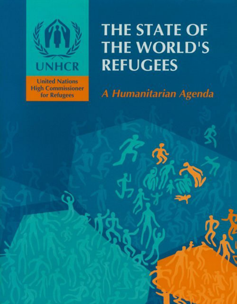

**United Nations High Commissioner** for Refugees

# **THE STATE OF THE WORLD'S REFUGEES**

A Humanitarian Agenda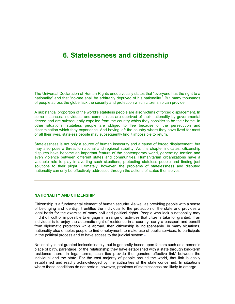# **6. Statelessness and citizenship**

The Universal Declaration of Human Rights unequivocally states that "everyone has the right to a nationality" and that "no-one shall be arbitrarily deprived of his nationality." But many thousands of people across the globe lack the security and protection which citizenship can provide.

A substantial proportion of the world's stateless people are also victims of forced displacement. In some instances, individuals and communities are deprived of their nationality by governmental decree and are subsequently expelled from the country which they consider to be their home. In other situations, stateless people are obliged to flee because of the persecution and discrimination which they experience. And having left the country where they have lived for most or all their lives, stateless people may subsequently find it impossible to return.

Statelessness is not only a source of human insecurity and a cause of forced displacement, but may also pose a threat to national and regional stability. As this chapter indicates, citizenship disputes have become an important feature of the contemporary world, generating tension and even violence between different states and communities. Humanitarian organizations have a valuable role to play in averting such situations, protecting stateless people and finding just solutions to their plight. Ultimately, however, the problems of statelessness and disputed nationality can only be effectively addressed through the actions of states themselves.

## **NATIONALITY AND CITIZENSHIP**

Citizenship is a fundamental element of human security. As well as providing people with a sense of belonging and identity, it entitles the individual to the protection of the state and provides a legal basis for the exercise of many civil and political rights. People who lack a nationality may find it difficult or impossible to engage in a range of activities that citizens take for granted. If an individual is to enjoy the automatic right of residence in a country, carry a passport and benefit from diplomatic protection while abroad, then citizenship is indispensable. In many situations, nationality also enables people to find employment, to make use of public services, to participate in the political process and to have access to the judicial system. $1$ 

Nationality is not granted indiscriminately, but is generally based upon factors such as a person's place of birth, parentage, or the relationship they have established with a state through long-term residence there. In legal terms, such ties provide the 'genuine effective link' between the individual and the state. For the vast majority of people around the world, that link is easily established and readily acknowledged by the authorities of the state concerned. In situations where these conditions do not pertain, however, problems of statelessness are likely to emerge.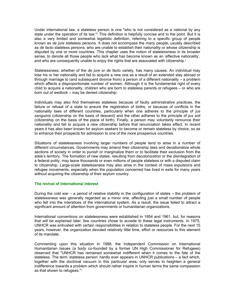Under international law, a stateless person is one "who is not considered as a national by any state under the operation of its law."<sup>[2](#page-19-0)</sup> This definition is helpfully concise and to the point. But it is also a very limited and somewhat legalistic definition, referring to a specific group of people known as *de jure* stateless persons. It does not encompass the many people, usually described as *de facto* stateless persons, who are unable to establish their nationality or whose citizenship is disputed by one or more countries. This chapter uses the notion of statelessness in its broader sense, to denote all those people who lack what has become known as an 'effective nationality', and who are consequently unable to enjoy the rights that are associated with citizenship. $3$ 

Statelessness, whether of the *de jure* or *de facto* variety, has many causes. An individual may lose his or her nationality and fail to acquire a new one as a result of an extended stay abroad or through marriage to (and subsequent divorce from) a person of a different nationality – a problem which affects a disproportionate number of women. Although it is the fundamental right of every child to acquire a nationality, children who are born to stateless parents or refugees – or who are born out of wedlock – may be denied citizenship.

Individuals may also find themselves stateless because of faulty administrative practices, the failure or refusal of a state to ensure the registration of births, or because of conflicts in the nationality laws of different countries, particularly when one adheres to the principle of *jus sanguinis* (citizenship on the basis of descent) and the other adheres to the principle of *jus soli* (citizenship on the basis of the place of birth). Finally, a person may voluntarily renounce their nationality and fail to acquire a new citizenship before that renunciation takes effect. In recent years it has also been known for asylum seekers to become or remain stateless by choice, so as to enhance their prospects for admission to one of the more prosperous countries.

Situations of statelessness involving larger numbers of people tend to arise in a number of different circumstances. Governments may amend their citizenship laws and denationalize whole sections of society in order to punish or marginalize them or to facilitate their exclusion from the state's territory. The formation of new states, resulting from decolonization or the disintegration of a federal polity, may leave thousands or even millions of people stateless or with a disputed claim to citizenship. Large-scale statelessness may also arise in the context of mass expulsions and refugee movements, especially when the population concerned has lived in exile for many years without acquiring the citizenship of their asylum country.

## **The revival of international interest**

During the cold war – a period of relative stability in the configuration of states – the problem of statelessness was generally regarded as a minor one, affecting just a small number of people who fell into the interstices of the international system. As a result, the issue failed to attract a significant amount of attention from governments or humanitarian organizations.

International conventions on statelessness were established in 1954 and 1961, but, for reasons that will be explained later, few countries chose to accede to these legal instruments. In 1975, UNHCR was entrusted with certain responsibilities in relation to stateless people. For the next 15 years, however, the organization devoted relatively little time, effort or resources to this element of its mandate.

Commenting upon this situation in 1988, the Independent Commission on International Humanitarian Issues (a body co-founded by a former UN High Commissioner for Refugees) observed that "UNHCR has remained somewhat indifferent when it comes to the fate of the stateless. The term 'stateless person' hardly ever appears in UNHCR publications – a fact which, together with the doctrinal vacuum in this particular area, only serves to heighten a general indifference towards a problem which should rather inspire in human terms the same compassion as that shown to refugees." $4$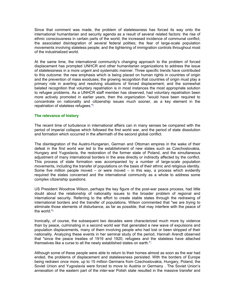Since that comment was made, the problem of statelessness has forced its way onto the international humanitarian and security agenda as a result of several related factors: the rise of ethnic consciousness in certain parts of the world; the increased incidence of communal conflict; the associated disintegration of several federal polities; the fear of large-scale population movements involving stateless people; and the tightening of immigration controls throughout most of the industrialized world.

At the same time, the international community's changing approach to the problem of forced displacement has prompted UNHCR and other humanitarian organizations to address the issue of statelessness in a more urgent and systematic manner. Three specific trends have contributed to this outcome: the new emphasis which is being placed on human rights in countries of origin and the prevention of mass exoduses; the growing recognition that countries of origin must play a primary role in averting and resolving situations of forced displacement; and the somewhat belated recognition that voluntary repatriation is in most instances the most appropriate solution to refugee problems. As a UNHCR staff member has observed, had voluntary repatriation been more actively promoted in earlier years, then the organization "would have been required to concentrate on nationality and citizenship issues much sooner, as a key element in the repatriation of stateless refugees."<sup>[5](#page-19-0)</sup>

## **The relevance of history**

The recent time of turbulence in international affairs can in many senses be compared with the period of imperial collapse which followed the first world war, and the period of state dissolution and formation which occurred in the aftermath of the second global conflict.

The disintegration of the Austro-Hungarian, German and Ottoman empires in the wake of their defeat in the first world war led to the establishment of new states such as Czechoslovakia, Hungary and Yugoslavia, the restoration of the former state of Poland, and the simultaneous adjustment of many international borders in the area directly or indirectly affected by the conflict. This process of state formation was accompanied by a number of large-scale population movements, including the transfer of populations on the basis of their ethnic and religious identity. Some five million people moved – or were moved – in this way, a process which evidently required the states concerned and the international community as a whole to address some complex citizenship questions.

US President Woodrow Wilson, perhaps the key figure of the post-war peace process, had little doubt about the relationship of nationality issues to the broader problem of regional and international security. Referring to the effort to create stable states through the redrawing of international borders and the transfer of populations, Wilson commented that "we are trying to eliminate those elements of disturbance, as far as possible, that may interfere with the peace of the world." $6$ 

Ironically, of course, the subsequent two decades were characterized much more by violence than by peace, culminating in a second world war that generated a new wave of expulsions and population displacements, many of them involving people who had lost or been stripped of their nationality. Analyzing these events in her seminal study of the period, Hannah Arendt observed that "since the peace treaties of 1919 and 1920, refugees and the stateless have attached themselves like a curse to all the newly established states on earth. $"^{\mathbb{Z}}$ 

Although some of these people were able to return to their homes almost as soon as the war had ended, the problems of displacement and statelessness persisted. With the borders of Europe being redrawn once more, up to 15 million Germans from Czechoslovakia, Hungary, Poland, the Soviet Union and Yugoslavia were forced to move to Austria or Germany . The Soviet Union's annexation of the eastern part of the inter-war Polish state resulted in the massive transfer and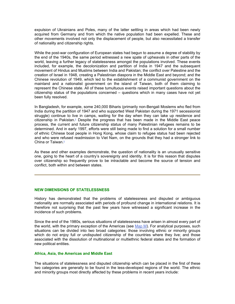expulsion of Ukrainians and Poles, many of the latter settling in areas which had been newly acquired from Germany and from which the native population had been expelled. These and other movements involved not only the displacement of people, but also necessitated a transfer of nationality and citizenship rights.

While the post-war configuration of European states had begun to assume a degree of stability by the end of the 1940s, the same period witnessed a new spate of upheavals in other parts of the world, leaving a further legacy of statelessness amongst the populations involved. These events included, for example, the decolonization and partition of India in 1947 and the subsequent movement of Hindus and Muslims between India and Pakistan; the conflict over Palestine and the creation of Israel in 1948, creating a Palestinian diaspora in the Middle East and beyond; and the Chinese revolution of 1949, which led to the establishment of a communist government on the mainland and a nationalist government on the island of Taiwan, both of them claiming to represent the Chinese state. All of these tumultuous events raised important questions about the citizenship status of the populations concerned – questions which in many cases have not yet been fully resolved.

In Bangladesh, for example, some 240,000 Biharis (primarily non-Bengali Moslems who fled from India during the partition of 1947 and who supported West Pakistan during the 1971 secessionist struggle) continue to live in camps, waiting for the day when they can take up residence and citizenship in Pakistan.[8](#page-19-0) Despite the progress that has been made in the Middle East peace process, the current and future citizenship status of many Palestinian refugees remains to be determined. And in early 1997, efforts were still being made to find a solution for a small number of ethnic Chinese boat people in Hong Kong, whose claim to refugee status had been rejected and who were refused readmission to Viet Nam, on the grounds that they had a stronger link to China or Taiwan.<sup>[9](#page-19-0)</sup>

As these and other examples demonstrate, the question of nationality is an unusually sensitive one, going to the heart of a country's sovereignty and identity. It is for this reason that disputes over citizenship so frequently prove to be intractable and become the source of tension and conflict, both within and between states.

## **NEW DIMENSIONS OF STATELESSNESS**

History has demonstrated that the problems of statelessness and disputed or ambiguous nationality are normally associated with periods of profound change in international relations. It is therefore not surprising that the past few years have witnessed a significant increase in the incidence of such problems.

Since the end of the 1980s, serious situations of statelessness have arisen in almost every part of the world, with the primary exception of the Americas (se[e Map M\).](#page-39-0) For analytical purposes, such situations can be divided into two broad categories: those involving ethnic or minority groups which do not enjoy full or undisputed citizenship of the countries where they live; and those associated with the dissolution of multinational or multiethnic federal states and the formation of new political entities.

## **Africa, Asia, the Americas and Middle East**

The situations of statelessness and disputed citizenship which can be placed in the first of these two categories are generally to be found in the less-developed regions of the world. The ethnic and minority groups most directly affected by these problems in recent years include: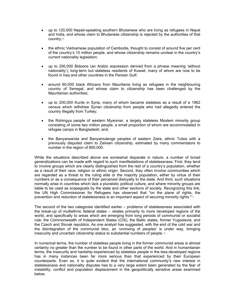- up to 120,000 Nepali-speaking southern Bhutanese who are living as refugees in Nepal and India, and whose claim to Bhutanese citizenship is rejected by the authorities of that country;<sup>[10](#page-19-0)</sup>
- the ethnic Vietnamese population of Cambodia, thought to consist of around five per cent of the country's 10 million people, and whose citizenship remains unclear in the country's current nationality legislation;
- up to 250,000 Bidoons (an Arabic expression derived from a phrase meaning 'without nationality'), long-term but stateless residents of Kuwait, many of whom are now to be found in Iraq and other countries in the Persian Gulf;
- around 60,000 black Africans from Mauritania living as refugees in the neighbouring country of Senegal, and whose claim to citizenship has been challenged by the Mauritanian authorities;
- up to 200,000 Kurds in Syria, many of whom became stateless as a result of a 1962 census which withdrew Syrian citizenship from people who had allegedly entered the country illegally from Turkey;
- the Rohingya people of western Myanmar, a largely stateless Moslem minority group consisting of some two million people, a small proportion of whom are accommodated in refugee camps in Bangladesh; and,
- the Banyarwanda and Banyamulenge peoples of eastern Zaire, ethnic Tutsis with a previously disputed claim to Zairean citizenship, estimated by many commentators to number in the region of 800,000.

While the situations described above are somewhat disparate in nature, a number of broad generalizations can be made with regard to such manifestations of statelessness. First, they tend to involve groups which are clearly distinguished from the rest of a country's population, whether as a result of their race, religion or ethnic origin. Second, they often involve communities which are regarded as a threat to the ruling elite or the majority population, either by virtue of their numbers or as a consequence of their perceived disloyalty to the state. And third, such situations normally arise in countries which lack a pluralistic political culture, and where minority groups are liable to be used as scapegoats by the state and other sections of society. Recognizing this link, the UN High Commissioner for Refugees has observed that "on the plane of rights, the prevention and reduction of statelessness is an important aspect of securing minority rights."<sup>[11](#page-19-0)</sup>

The second of the two categories identified earlier – problems of statelessness associated with the break-up of multiethnic federal states – relates primarily to more developed regions of the world, and specifically to areas which are emerging from long periods of communist or socialist rule: the Commonwealth of Independent States (CIS), the Baltic states, former Yugoslavia, and the Czech and Slovak republics. As one analyst has suggested, with the end of the cold war and the disintegration of the communist bloc, an 'unmixing of peoples' is under way, bringing insecurity and uncertain citizenship status to substantial numbers of people. $12$ 

In numerical terms, the number of stateless people living in the former communist areas is almost certainly no greater than the number to be found in other parts of the world. And in humanitarian terms, the insecurity and hardship experienced by stateless people in the less-developed regions has in many instances been far more serious than that experienced by their European counterparts. Even so, it is quite evident that the international community's new interest in statelessness and nationality disputes has to a very large extent been generated by the fear of instability, conflict and population displacement in the geopolitically sensitive areas examined below.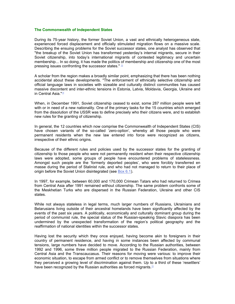#### **The Commonwealth of Independent States**

During its 75-year history, the former Soviet Union, a vast and ethnically heterogeneous state, experienced forced displacement and officially stimulated migration flows on a massive scale. Describing the ensuing problems for the Soviet successor states, one analyst has observed that "the breakup of the Soviet Union has transformed yesterday's internal migrants, secure in their Soviet citizenship, into today's international migrants of contested legitimacy and uncertain membership... In so doing, it has made the politics of membership and citizenship one of the most pressing issues confronting the successor states." [13](#page-20-0)

A scholar from the region makes a broadly similar point, emphasizing that there has been nothing accidental about these developments. "The enforcement of ethnically selective citizenship and official language laws in societies with sizeable and culturally distinct communities has caused massive discontent and inter-ethnic tensions in Estonia, Latvia, Moldavia, Georgia, Ukraine and in Central Asia."<sup>14</sup>

When, in December 1991, Soviet citizenship ceased to exist, some 287 million people were left with or in need of a new nationality. One of the primary tasks for the 15 countries which emerged from the dissolution of the USSR was to define precisely who their citizens were, and to establish new rules for the granting of citizenship.

In general, the 12 countries which now comprise the Commonwealth of Independent States (CIS) have chosen variants of the so-called 'zero-option', whereby all those people who were permanent residents when the new law entered into force were recognized as citizens, irrespective of their ethnic origins.

Because of the different rules and policies used by the successor states for the granting of citizenship to those people who were not permanently resident when their respective citizenship laws were adopted, some groups of people have encountered problems of statelessness. Amongst such people are the 'formerly deported peoples', who were forcibly transferred en masse during the period of Stalinist rule, and who had not managed to return to their place of origin before the Soviet Union disintegrated (se[e Box 6.1\).](#page-22-0)

In 1997, for example, between 60,000 and 170,000 Crimean Tatars who had returned to Crimea from Central Asia after 1991 remained without citizenship. The same problem confronts some of the Meskhetian Turks who are dispersed in the Russian Federation, Ukraine and other CIS states.

While not always stateless in legal terms, much larger numbers of Russians, Ukrainians and Belarusians living outside of their ancestral homelands have been significantly affected by the events of the past six years. A politically, economically and culturally dominant group during the period of communist rule, the special status of the Russian-speaking Slavic diaspora has been undermined by the unexpected transformation of the region's political geography and the reaffirmation of national identities within the successor states.

Having lost the security which they once enjoyed, having become akin to foreigners in their country of permanent residence, and having in some instances been affected by communal tensions, large numbers have decided to move. According to the Russian authorities, between 1992 and 1996, some three million people migrated to the Russian Federation, mainly from Central Asia and the Transcaucasus. Their reasons for moving were various: to improve their economic situation, to escape from armed conflict or to remove themselves from situations where they perceived a growing level of discrimination against them. Up to a third of these 'resettlers' have been recognized by the Russian authorities as forced migrants.<sup>[15](#page-20-0)</sup>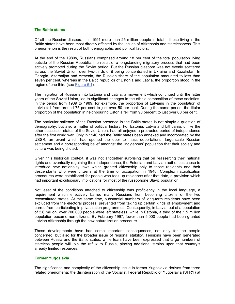## **The Baltic states**

Of all the Russian diaspora – in 1991 more than 25 million people in total – those living in the Baltic states have been most directly affected by the issues of citizenship and statelessness. This phenomenon is the result of both demographic and political factors.

At the end of the 1980s, Russians comprised around 18 per cent of the total population living outside of the Russian Republic, the result of a longstanding migratory process that had been actively promoted during the Soviet period. But the Russian diaspora was not evenly scattered across the Soviet Union, over two-thirds of it being concentrated in Ukraine and Kazakstan. In Georgia, Azerbaijan and Armenia, the Russian share of the population amounted to less than seven per cent, whereas in the Baltic republics of Estonia and Latvia, the proportion stood in the region of one third (se[e Figure 6.1\).](#page-36-0)

The migration of Russians into Estonia and Latvia, a movement which continued until the latter years of the Soviet Union, led to significant changes in the ethnic composition of these societies. In the period from 1939 to 1989, for example, the proportion of Latvians in the population of Latvia fell from around 75 per cent to just over 50 per cent. During the same period, the titular proportion of the population in neighbouring Estonia fell from 90 percent to just over 60 per cent.

The particular salience of the Russian presence in the Baltic states is not simply a question of demography, but also a matter of political history. For Estonia, Latvia and Lithuania, unlike the other successor states of the Soviet Union, had all enjoyed a protracted period of independence after the first world war. Only in 1940 had the Baltic states been annexed and incorporated by the USSR, an event which had opened the door to mass deportations, large-scale Russian settlement and a corresponding belief amongst the 'indigenous' population that their society and culture was being diluted.

Given this historical context, it was not altogether surprising that on reasserting their national rights and eventually regaining their independence, the Estonian and Latvian authorities chose to introduce new nationality laws which granted citizenship only to those residents and their descendants who were citizens at the time of occupation in 1940. Complex naturalization procedures were established for people who took up residence after that date, a provision which had important exculsionary implications for most of the russophone Slavic population.

Not least of the conditions attached to citizenship was proficiency in the local language, a requirement which effectively barred many Russians from becoming citizens of the two reconstituted states. At the same time, substantial numbers of long-term residents have been excluded from the electoral process, prevented from taking up certain kinds of employment and barred from participating in privatization programmes. Consequently, in Latvia, out of a population of 2.6 million, over 700,000 people were left stateless, while in Estonia, a third of the 1.5 million population became non-citizens. By February 1997, fewer than 5,000 people had been granted Latvian citizenship through the new naturalization procedure.

These developments have had some important consequences, not only for the people concerned, but also for the broader issue of regional stability. Tensions have been generated between Russia and the Baltic states, while fears have been expressed that large numbers of stateless people will join the reflux to Russia, placing additional strains upon that country's already limited resources.

## **Former Yugoslavia**

The significance and complexity of the citizenship issue in former Yugoslavia derives from three related phenomena: the disintegration of the Socialist Federal Republic of Yugoslavia (SFRY) at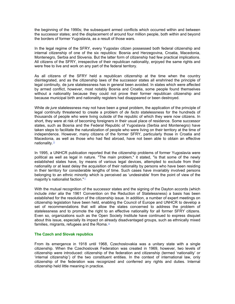the beginning of the 1990s; the subsequent armed conflicts which occurred within and between the successor states; and the displacement of around four million people, both within and beyond the borders of former Yugoslavia, as a result of those wars.

In the legal regime of the SFRY, every Yugoslav citizen possessed both federal citizenship and internal citizenship of one of the six republics: Bosnia and Herzegovina, Croatia, Macedonia, Montenegro, Serbia and Slovenia. But the latter form of citizenship had few practical implications. All citizens of the SFRY, irrespective of their republican nationality, enjoyed the same rights and were free to live and work on any part of the federal territory.

As all citizens of the SFRY held a republican citizenship at the time when the country disintegrated, and as the citizenship laws of the successor states all enshrined the principle of legal continuity, de jure statelessness has in general been avoided. In states which were affected by armed conflict, however, most notably Bosnia and Croatia, some people found themselves without a nationality because they could not prove their former republican citizenship and because municipal birth and nationality registers had disappeared or been destroyed.

While *de jure* statelessness may not have been a great problem, the application of the principle of legal continuity threatened to create a problem of *de facto* statelessness for the hundreds of thousands of people who were living outside of the republic of which they were now citizens. In short, they were at risk of becoming foreigners in their usual place of residence. Some successor states, such as Bosnia and the Federal Republic of Yugoslavia (Serbia and Montenegro) have taken steps to facilitate the naturalization of people who were living on their territory at the time of independence. However, many citizens of the former SFRY, particularly those in Croatia and Macedonia, as well as those who had fled abroad, have not been able to obtain an effective nationality.<sup>[16](#page-20-0)</sup>

In 1995, a UNHCR publication reported that the citizenship problems of former Yugoslavia were political as well as legal in nature. "The main problem," it stated, "is that some of the newly established states have, by means of various legal devices, attempted to exclude from their nationality or at least delay the acquisition of their nationality by persons who have been residing in their territory for considerable lengths of time. Such cases have invariably involved persons belonging to an ethnic minority which is perceived as 'undesirable' from the point of view of the majority's nationalist faction."<sup>[17](#page-20-0)</sup>

With the mutual recognition of the successor states and the signing of the Dayton accords (which include *inter alia* the 1961 Convention on the Reduction of Statelessness) a basis has been established for the resolution of the citizenship issue. In addition, a number of expert meetings on citizenship legislation have been held, enabling the Council of Europe and UNHCR to develop a set of recommendations that will allow the states concerned to address the problem of statelessness and to promote the right to an effective nationality for all former SFRY citizens. Even so, organizations such as the Open Society Institute have continued to express disquiet about this issue, especially its impact on already disadvantaged groups, such as ethnically mixed families, migrants, refugees and the Roma.[18](#page-20-0)

## **The Czech and Slovak republics**

From its emergence in 1918 until 1968, Czechoslovakia was a unitary state with a single citizenship. When the Czechoslovak Federation was created in 1969, however, two levels of citizenship were introduced: citizenship of the federation and citizenship (termed 'nationality' or 'internal citizenship') of the two constituent entities. In the context of international law, only citizenship of the federation was recognized and conferred any rights and duties. Internal citizenship held little meaning in practice.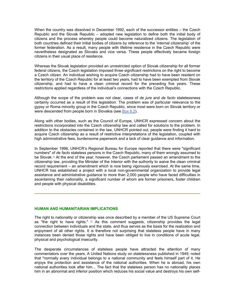When the country was dissolved in December 1992, each of the successor entities – the Czech Republic and the Slovak Republic – adopted new legislation to define both the initial body of citizens and the process whereby people could become naturalized citizens. The legislation of both countries defined their initial bodies of citizens by reference to the 'internal citizenship' of the former federation. As a result, many people with lifetime residence in the Czech Republic were nevertheless designated as Slovaks and vice versa. These people effectively became foreign citizens in their usual place of residence.

Whereas the Slovak legislation provided an unrestricted option of Slovak citizenship for all former federal citizens, the Czech legislation imposed three significant restrictions on the right to become a Czech citizen. An individual wishing to acquire Czech citizenship had to have been resident on the territory of the Czech Republic for at least two years, had to have been exempted from Slovak citizenship, and had to have a clean criminal record for the preceding five years. These restrictions applied regardless of the individual's connections with the Czech Republic.

Although the scope of the problem was not clear, cases of *de jure* and *de facto* statelessness certainly occurred as a result of this legislation. The problem was of particular relevance to the gypsy or Roma minority group in the Czech Republic, since most were born on Slovak territory or were descended from people born in Slovakia (see Box 6.2).

Along with other bodies, such as the Council of Europe, UNHCR expressed concern about the restrictions incorporated into the Czech citizenship law and called for solutions to the problem. In addition to the obstacles contained in the law, UNHCR pointed out, people were finding it hard to acquire Czech citizenship as a result of restrictive interpretations of the legislation, coupled with high administrative fees, burdensome paperwork and a lack of clear guidance and information.

In September 1996, UNHCR's Regional Bureau for Europe reported that there were "significant numbers" of *de facto* stateless persons in the Czech Republic, many of them wrongly assumed to be Slovak.<sup>19</sup> At the end of the year, however, the Czech parliament passed an amendment to the citizenship law, providing the Minister of the Interior with the authority to waive the clean criminal record requirement – an amendment which is now being vigorously exercised. At the same time, UNHCR has established a project with a local non-governmental organization to provide legal assistance and administrative guidance to more than 2,000 people who have faced difficulties in ascertaining their nationality, a significant number of whom are former prisoners, foster children and people with physical disabilities.

## **HUMAN AND HUMANITARIAN IMPLICATIONS**

The right to nationality or citizenship was once described by a member of the US Supreme Court as "the right to have rights."  $20$  As this comment suggests, citizenship provides the legal connection between individuals and the state, and thus serves as the basis for the realization and enjoyment of all other rights. It is therefore not surprising that stateless people have in many instances been denied those rights and have been obliged to live in conditions of acute legal, physical and psychological insecurity.

The desperate circumstances of stateless people have attracted the attention of many commentators over the years. A United Nations study on statelessness published in 1949, noted that "normally every individual belongs to a national community and feels himself part of it. He enjoys the protection and assistance of the national authorities. When he is abroad, his own national authorities look after him... The fact that the stateless person has no nationality places him in an abnormal and inferior position which reduces his social value and destroys his own self-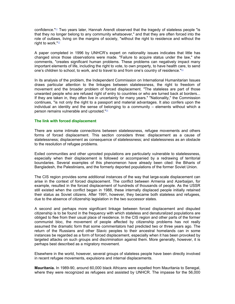confidence."<sup>[21](#page-20-0)</sup> Two years later, Hannah Arendt observed that the tragedy of stateless people "is that they no longer belong to any community whatsoever," and that they are often forced into the role of outlaws, living on the margins of society, "without the right to residence and without the right to work." $22$ 

A paper completed in 1996 by UNHCR's expert on nationality issues indicates that little has changed since those observations were made. "Failure to acquire status under the law," she comments, "creates significant human problems. These problems can negatively impact many important elements of life, including the right to vote, to own property, to have health care, to send one's children to school, to work, and to travel to and from one's country of residence."<sup>[23](#page-20-0)</sup>

In its analysis of the problem, the Independent Commission on International Humanitarian Issues draws particular attention to the linkages between statelessness, the right to freedom of movement and the broader problem of forced displacement. "The stateless are part of those unwanted people who are refused right of entry to countries or who are turned back at borders... If they are taken in, they often live in uncertainty for many years." "Nationality," the Commission continues, "is not only the right to a passport and material advantages. It also confers upon the individual an identity and the sense of belonging to a community – elements without which a person remains vulnerable and uprooted."<sup>24</sup>

## **The link with forced displacement**

There are some intimate connections between statelessness, refugee movements and others forms of forced displacement. This section considers three: displacement as a cause of statelessness; displacement as consequence of statelessness; and statelessness as an obstacle to the resolution of refugee problems.

Exiled communities and other uprooted populations are particularly vulnerable to statelessness, especially when their displacement is followed or accompanied by a redrawing of territorial boundaries. Several examples of this phenomenon have already been cited: the Biharis of Bangladesh, the Palestinians, and the formerly deported populations of the former Soviet Union.

The CIS region provides some additional instances of the way that large-scale displacement can arise in the context of forced displacement. The conflict between Armenia and Azerbaijan, for example, resulted in the forced displacement of hundreds of thousands of people. As the USSR still existed when the conflict began in 1988, these internally displaced people initially retained their status as Soviet citizens. After 1991, however, they became both stateless and refugees, due to the absence of citizenship legislation in the two successor states.

A second and perhaps more significant linkage between forced displacement and disputed citizenship is to be found in the frequency with which stateless and denaturalized populations are obliged to flee from their usual place of residence. In the CIS region and other parts of the former communist bloc, the movement of people affected by citizenship problems has not really assumed the dramatic form that some commentators had predicted two or three years ago. The return of the Russians and other Slavic peoples to their ancestral homelands can in some instances be regarded as a form of forced displacement, especially when it has been provoked by targeted attacks on such groups and discrimination against them. More generally, however, it is perhaps best described as a migratory movement.

Elsewhere in the world, however, several groups of stateless people have been directly involved in recent refugee movements, expulsions and internal displacements.

**Mauritania.** In 1989-90, around 60,000 black Africans were expelled from Mauritania to Senegal, where they were recognized as refugees and assisted by UNHCR. The impasse for the 56,000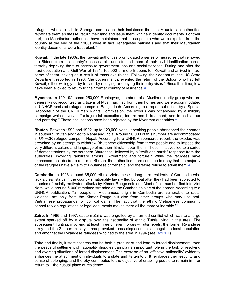refugees who are still in Senegal centres on their insistence that the Mauritanian authorities repatriate them *en masse*, return their land and issue them with new identity documents. For their part, the Mauritanian authorities have maintained that those people who were expelled from the country at the end of the 1980s were in fact Senegalese nationals and that their Mauritanian identity documents were fraudulent.<sup>25</sup>

**Kuwait.** In the late 1980s, the Kuwaiti authorities promulgated a series of measures that removed the Bidoon from the country's census rolls and stripped them of their civil identification cards, thereby depriving them of access to government jobs and social services. During and after the Iraqi occupation and Gulf War of 1991, 100,000 or more Bidoons left Kuwait and arrived in Iraq, some of them leaving as a result of mass expulsions. Following their departure, the US State Department reported in 1993, "the government prevented the return of the Bidoon who had left Kuwait, either willingly or by force... by delaying or denying their entry visas." Since that time, few have been allowed to return to their former country of residence.<sup>[26](#page-20-0)</sup>

**Myanmar.** In 1991-92, some 250,000 Rohingyas, members of a Muslim minority group who are generally not recognized as citizens of Myanmar, fled from their homes and were accommodated in UNHCR-assisted refugee camps in Bangladesh. According to a report submitted by a Special Rapporteur of the UN Human Rights Commission, the exodus was occasioned by a military campaign which involved "extrajudicial executions, torture and ill-treatment, and forced labour and portering." These accusations have been rejected by the Myanmar authorities. $27$ 

**Bhutan.** Between 1990 and 1992, up to 120,000 Nepali-speaking people abandoned their homes in southern Bhutan and fled to Nepal and India. Around 90,000 of this number are accommodated in UNHCR refugee camps in Nepal. According to a UNHCR-sponsored report, the exodus was provoked by an attempt to withdraw Bhutanese citizenship from these people and to impose the very different culture and language of northern Bhutan upon them. These initiatives led to a series of demonstrations by the southern Bhutanese, followed by a "swift and harsh" response from the authorities, involving "arbitrary arrests, ill-treatment and torture." While the refugees have expressed their desire to return to Bhutan, the authorities there continue to deny that the majority of the refugees have a claim to Bhutanese citizenship, and therefore refuse to admit them.<sup>28</sup>

**Cambodia.** In 1993, around 35,000 ethnic Vietnamese – long-term residents of Cambodia who lack a clear status in the country's nationality laws – fled by boat after they had been subjected to a series of racially motivated attacks by Khmer Rouge soldiers. Most of this number fled into Viet Nam, while around 5,000 remained stranded on the Cambodian side of the border. According to a UNHCR publication, "all people of Vietnamese origin in Cambodia are vulnerable to racial violence, not only from the Khmer Rouge but also from other groups who may use anti-Vietnamese propaganda for political gains. The fact that the ethnic Vietnamese community cannot rely on regulations or legal documents makes them all the more vulnerable." $29$ 

**Zaire.** In 1996 and 1997, eastern Zaire was engulfed by an armed conflict which was to a large extent sparked off by a dispute over the nationality of ethnic Tutsis living in the area. The subsequent fighting, involving at least three different forces – Tutsi rebels, the former Rwandese army and the Zairean military – has provoked mass displacement amongst the local population and amongst the Rwandese refugees who fled to the area in 1994 (see Box 1.1).

Third and finally, if statelessness can be both a product of and lead to forced displacement, then the peaceful settlement of nationality disputes can play an important role in the task of resolving and averting situations of forced displacement. The exercise of an 'effective nationality' evidently enhances the attachment of individuals to a state and its territory. It reinforces their security and sense of belonging, and thereby contributes to the objective of enabling people to remain in – or return to – their usual place of residence.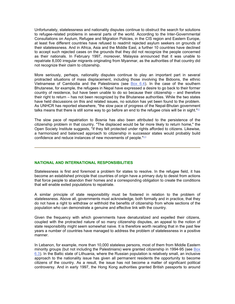Unfortunately, statelessness and nationality disputes continue to obstruct the search for solutions to refugee-related problems in several parts of the world. According to the Inter-Governmental Consultations on Asylum, Refugee and Migration Policies, in the CIS region and Eastern Europe, at least five different countries have refused to readmit rejected asylum seekers on grounds of their statelessness. And in Africa, Asia and the Middle East, a further 10 countries have declined to accept such rejected cases on the grounds that they did not recognize the people concerned as their nationals. In February 1997, moreover, Malaysia announced that it was unable to repatriate 8,000 irregular migrants originating from Myanmar, as the authorities of that country did not recognize their claim to citizenship.

More seriously, perhaps, nationality disputes continue to play an important part in several protracted situations of mass displacement, including those involving the Bidoons, the ethnic Vietnamese of Cambodia and the Palestinians (see [Box 6.4\).](#page-33-0) In the case of the southern Bhutanese, for example, the refugees in Nepal have expressed a desire to go back to their former country of residence, but have been unable to do so because their citizenship – and therefore their right to return – has not been recognized by the Bhutanese authorities. While the two states have held discussions on this and related issues, no solution has yet been found to the problem. As UNHCR has reported elsewhere, "the slow pace of progress of the Nepal-Bhutan government talks means that there is still some way to go before an end to the refugee crisis will be in sight."<sup>[30](#page-20-0)</sup>

The slow pace of repatriation to Bosnia has also been attributed to the persistence of the citizenship problem in that country. "The displaced would be far more likely to return home," the Open Society Institute suggests, "if they felt protected under rights afforded to citizens. Likewise, a harmonized and balanced approach to citizenship in successor states would probably build confidence and reduce instances of new movements of people."<sup>[31](#page-20-0))</sup>

## **NATIONAL AND INTERNATIONAL RESPONSIBILITIES**

Statelessness is first and foremost a problem for states to resolve. In the refugee field, it has become an established principle that countries of origin have a primary duty to desist from actions that force people to abandon their homes and a corresponding obligation to create the conditions that will enable exiled populations to repatriate.

A similar principle of state responsibility must be fostered in relation to the problem of statelessness. Above all, governments must acknowledge, both formally and in practice, that they do not have a right to withdraw or withhold the benefits of citizenship from whole sections of the population who can demonstrate a genuine and effective link with the country.

Given the frequency with which governments have denaturalized and expelled their citizens, coupled with the protracted nature of so many citizenship disputes, an appeal to the notion of state responsibility might seem somewhat naive. It is therefore worth recalling that in the past few years a number of countries have managed to address the problem of statelessness in a positive manner.

In Lebanon, for example, more than 10,000 stateless persons, most of them from Middle Eastern minority groups (but not including the Palestinians) were granted citizenship in 1994-95 (see [Box](#page-29-0)  [6.3\).](#page-29-0) In the Baltic state of Lithuania, where the Russian population is relatively small, an inclusive approach to the nationality issue has given all permanent residents the opportunity to become citizens of the country. As a result, the issue has not become a matter of significant political controversy. And in early 1997, the Hong Kong authorities granted British passports to around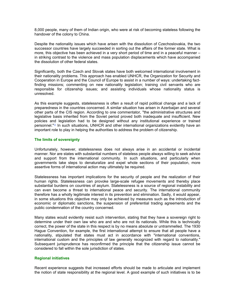8,000 people, many of them of Indian origin, who were at risk of becoming stateless following the handover of the colony to China.

Despite the nationality issues which have arisen with the dissolution of Czechoslovakia, the two successor countries have largely succeeded in sorting out the affairs of the former state. What is more, this objective has been achieved in a very short period of time and in a peaceful manner – in striking contrast to the violence and mass population displacements which have accompanied the dissolution of other federal states.

Significantly, both the Czech and Slovak states have both welcomed international involvement in their nationality problems. This approach has enabled UNHCR, the Organization for Security and Cooperation in Europe and the Council of Europe to assist in a number of ways: undertaking factfinding missions; commenting on new nationality legislation; training civil servants who are responsible for citizenship issues; and assisting individuals whose nationality status is unresolved.

As this example suggests, statelessness is often a result of rapid political change and a lack of preparedness in the countries concerned. A similar situation has arisen in Azerbaijan and several other parts of the CIS region. According to one commentator, "the administrative structures and legislative basis inherited from the Soviet period proved both inadequate and insufficient. New policies and legislation had to be designed without any institutional experience or trained personnel.["32](#page-21-0) In such situations, UNHCR and other international organizations evidently have an important role to play in helping the authorities to address the problem of citizenship.

## **The limits of sovereignty**

Unfortunately, however, statelessness does not always arise in an accidental or incidental manner. Nor are states with substantial numbers of stateless people always willing to seek advice and support from the international community. In such situations, and particularly when governments take steps to denaturalize and expel whole sections of their population, more assertive forms of international action may ultimately be required.

Statelessness has important implications for the security of people and the realization of their human rights. Statelessness can provoke large-scale refugee movements and thereby place substantial burdens on countries of asylum. Statelessness is a source of regional instability and can even become a threat to international peace and security. The international community therefore has a wholly legitimate interest in its prevention and elimination. Sadly, it would appear, in some situations this objective may only be achieved by measures such as the introduction of economic or diplomatic sanctions, the suspension of preferential trading agreements and the public condemnation of the country concerned.

Many states would evidently resist such intervention, stating that they have a sovereign right to determine under their own law who are and who are not its nationals. While this is technically correct, the power of the state in this respect is by no means absolute or untrammelled. The 1930 Hague Convention, for example, the first international attempt to ensure that all people have a nationality, stipulated that states must act in accordance with "international conventions, international custom and the principles of law generally recognized with regard to nationality." Subsequent jurisprudence has reconfirmed the principle that the citizenship issue cannot be considered to fall within the sole jurisdiction of states.

## **Regional initiatives**

Recent experience suggests that increased efforts should be made to articulate and implement the notion of state responsibility at the regional level. A good example of such initiatives is to be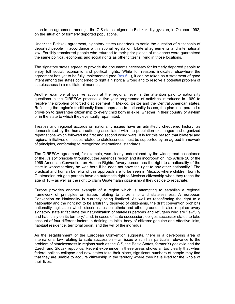seen in an agreement amongst the CIS states, signed in Bishkek, Kyrgyzstan, in October 1992, on the situation of formerly deported populations.

Under the Bishkek agreement, signatory states undertook to settle the question of citizenship of deported people in accordance with national legislation, bilateral agreements and international law. Forcibly transferred people who returned to their prior places of residence were guaranteed the same political, economic and social rights as other citizens living in those locations.

The signatory states agreed to provide the documents necessary for formerly deported people to enjoy full social, economic and political rights. While for reasons indicated elsewhere the agreement has yet to be fully implemented (see  $Box 6.1$ ), it can be taken as a statement of good intent among the states concerned to right a historical wrong and to resolve a potential problem of statelessness in a multilateral manner.

Another example of positive action at the regional level is the attention paid to nationality questions in the CIREFCA process, a five-year programme of activities introduced in 1989 to resolve the problem of forced displacement in Mexico, Belize and the Central American states. Reflecting the region's traditionally liberal approach to nationality issues, the plan incorporated a provision to guarantee citizenship to every child born in exile, whether in their country of asylum or in the state to which they eventually repatriated.

Treaties and regional accords on nationality issues have an admittedly chequered history, as demonstrated by the human suffering associated with the population exchanges and organized repatriations which followed the first and second world wars. It is for this reason that bilateral and regional initiatives on issues related to statelessness must be supported by an agreed framework of principles, conforming to recognized international standards.

The CIREFCA agreement, for example, was clearly underpinned by the widespread acceptance of the *jus soli* principle throughout the Americas region and its incorporation into Article 20 of the 1969 American Convention on Human Rights: "every person has the right to a nationality of the state in whose territory he was born if he does not have the right to any other nationality." The practical and human benefits of this approach are to be seen in Mexico, where children born to Guatemalan refugee parents have an automatic right to Mexican citizenship when they reach the age of 18 – as well as the right to claim Guatemalan citizenship if they decide to repatriate.

Europe provides another example of a region which is attempting to establish a regional framework of principles on issues relating to citizenship and statelessness. A European Convention on Nationality is currently being finalized. As well as reconfirming the right to a nationality and the right not to be arbitrarily deprived of citizenship, the draft convention prohibits nationality legislation which discriminates on ethnic and other grounds. It also requires every signatory state to facilitate the naturalization of stateless persons and refugees who are "lawfully and habitually on its territory," and, in cases of state succession, obliges successor states to take account of four different factors in defining its initial body of citizens: genuine and effective links, habitual residence, territorial origin, and the will of the individual.

As the establishment of the European Convention suggests, there is a developing area of international law relating to state succession – an issue which has particular relevance to the problem of statelessness in regions such as the CIS, the Baltic States, former Yugoslavia and the Czech and Slovak republics. Recent experience in these areas shows all too clearly that when federal polities collapse and new states take their place, significant numbers of people may find that they are unable to acquire citizenship in the territory where they have lived for the whole of their lives.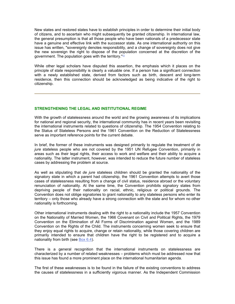New states and restored states have to establish principles in order to determine their initial body of citizens, and to ascertain who might subsequently be granted citizenship. In international law, the general presumption is that all those people who have been nationals of a predecessor state have a genuine and effective link with the successor state. As one international authority on this issue has written, "sovereignty denotes responsibility, and a change of sovereignty does not give the new sovereign the right to dispose of the population concerned at the discretion of the government. The population goes with the territory."<sup>[33](#page-21-0)</sup>

While other legal scholars have disputed this assertion, the emphasis which it places on the principle of state responsibility is clearly a valuable one. If a person has a significant connection with a newly established state, derived from factors such as birth, descent and long-term residence, then this connection should be acknowledged as being indicative of the right to citizenship.

## **STRENGTHENING THE LEGAL AND INSTITUTIONAL REGIME**

With the growth of statelessness around the world and the growing awareness of its implications for national and regional security, the international community has in recent years been revisiting the international instruments related to questions of citizenship. The 1954 Convention relating to the Status of Stateless Persons and the 1961 Convention on the Reduction of Statelessness serve as important reference points for the current debate.

In brief, the former of these instruments was designed primarily to regulate the treatment of *de jure* stateless people who are not covered by the 1951 UN Refugee Convention, primarily in areas such as their legal rights, their access to work and welfare and their ability to acquire a nationality. The latter instrument, however, was intended to reduce the future number of stateless cases by addressing the problem at source.

As well as stipulating that *de jure* stateless children should be granted the nationality of the signatory state in which a parent had citizenship, the 1961 Convention attempts to avert those cases of statelessness resulting from a change of civil status, residence abroad or the voluntary renunciation of nationality. At the same time, the Convention prohibits signatory states from depriving people of their nationality on racial, ethnic, religious or political grounds. The Convention does not oblige signatories to grant nationality to any stateless persons who enter its territory – only those who already have a strong connection with the state and for whom no other nationality is forthcoming.

Other international instruments dealing with the right to a nationality include the 1957 Convention on the Nationality of Married Women, the 1966 Covenant on Civil and Political Rights, the 1979 Convention on the Elimination of All Forms of Discrimination against Women, and the 1989 Convention on the Rights of the Child. The instruments concerning women seek to ensure that they enjoy equal rights to acquire, change or retain nationality, while those covering children are primarily intended to ensure that children have the right to be registered and to acquire a nationality from birth (see Box 6.4).

There is a general recognition that the international instruments on statelessness are characterized by a number of related weaknesses – problems which must be addressed now that this issue has found a more prominent place on the international humanitarian agenda.

The first of these weaknesses is to be found in the failure of the existing conventions to address the causes of statelessness in a sufficiently vigorous manner. As the Independent Commission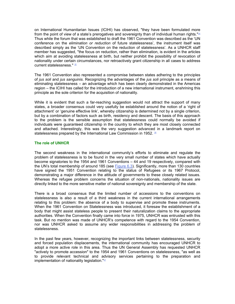on International Humanitarian Issues (ICIHI) has observed, "they have been formulated more from the point of view of a state's prerogatives and sovereignty than of individual human rights." $34$ Thus while the forum that was established to draft the 1961 Convention was described as the 'UN conference on the *elimination or reduction* of future statelessness', the instrument itself was described simply as the 'UN Convention on the reduction of statelessness'. As a UNHCR staff member has suggested, "the focus on reduction, rather than elimination, is evident in the articles which aim at avoiding statelessness at birth, but neither prohibit the possibility of revocation of nationality under certain circumstances, nor retroactively grant citizenship in all cases to address current statelessness." [35](#page-21-0)

The 1961 Convention also represented a compromise between states adhering to the principles of *jus soli* and *jus sanguinis*. Recognizing the advantages of the *jus soli* principle as a means of eliminating statelessness – an advantage which has been clearly demonstrated in the Americas region – the ICIHI has called for the introduction of a new international instrument, enshrining this principle as the sole criterion for the acquisition of nationality.

While it is evident that such a far-reaching suggestion would not attract the support of many states, a broader consensus could very usefully be established around the notion of a 'right of attachment' or 'genuine effective link', whereby citizenship is determined not by a single criterion, but by a combination of factors such as birth, residency and descent. The basis of this approach to the problem is the sensible assumption that statelessness could normally be avoided if individuals were guaranteed citizenship in the country to which they are most closely connected and attached. Interestingly, this was the very suggestion advanced in a landmark report on statelessness prepared by the International Law Commission in 1952. [36](#page-21-0)

## **The role of UNHCR**

The second weakness in the international community's efforts to eliminate and regulate the problem of statelessness is to be found in the very small number of states which have actually become signatories to the 1954 and 1961 Conventions – 44 and 19 respectively, compared with the UN's total membership of around 185 (se[e Figure 6.3\).](#page-38-0) Significantly, more than 130 countries have signed the 1951 Convention relating to the status of Refugees or its 1967 Protocol, demonstrating a major difference in the attitude of governments to these closely related issues. Whereas the refugee problem concerns the situation of non-nationals, nationality issues are directly linked to the more sensitive matter of national sovereignty and membership of the state.

There is a broad consensus that the limited number of accessions to the conventions on statelessness is also a result of a third weakness in the current international arrangements relating to this problem: the absence of a body to supervise and promote these instruments. When the 1961 Convention on Statelessness was introduced, it foresaw the establishment of a body that might assist stateless people to present their naturalization claims to the appropriate authorities. When the Convention finally came into force in 1975, UNHCR was entrusted with this task. But no mention was made of UNHCR's competence with regard to the 1954 Convention, nor was UNHCR asked to assume any wider responsibilities in addressing the problem of statelessness.

In the past few years, however, recognizing the important links between statelessness, security and forced population displacements, the international community has encouraged UNHCR to adopt a more active role in this area. Thus the UN General Assembly has requested UNHCR "actively to promote accession" to the 1954 and 1961 Conventions on statelessness, "as well as to provide relevant technical and advisory services pertaining to the preparation and implementation of nationality legislation." $37$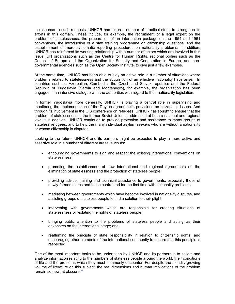In response to such requests, UNHCR has taken a number of practical steps to strengthen its efforts in this domain. These include, for example, the recruitment of a legal expert on the problem of statelessness, the preparation of an information package on the 1954 and 1961 conventions, the introduction of a staff training programme on citizenship questions, and the establishment of more systematic reporting procedures on nationality problems. In addition, UNHCR has reinforced its working relationship with a number of actors which are involved in this issue: UN organizations such as the Centre for Human Rights, regional bodies such as the Council of Europe and the Organization for Security and Cooperation in Europe, and nongovernmental agencies such as the Open Society Institute, to give just a few examples.

At the same time, UNHCR has been able to play an active role in a number of situations where problems related to statelessness and the acquisition of an effective nationality have arisen. In countries such as Azerbaijan, Cambodia, the Czech and Slovak republics and the Federal Republic of Yugoslavia (Serbia and Montenegro), for example, the organization has been engaged in an intensive dialogue with the authorities with regard to their nationality legislation.

In former Yugoslavia more generally, UNHCR is playing a central role in supervising and monitoring the implementation of the Dayton agreement's provisions on citizenship issues. And through its involvement in the CIS conference on refugees, UNHCR has sought to ensure that the problem of statelessness in the former Soviet Union is addressed at both a national and regional level.<sup>38</sup> In addition, UNHCR continues to provide protection and assistance to many groups of stateless refugees, and to help the many individual asylum seekers who are without a nationality or whose citizenship is disputed.

Looking to the future, UNHCR and its partners might be expected to play a more active and assertive role in a number of different areas, such as:

- encouraging governments to sign and respect the existing international conventions on statelessness;
- promoting the establishment of new international and regional agreements on the elimination of statelessness and the protection of stateless people;
- providing advice, training and technical assistance to governments, especially those of newly-formed states and those confronted for the first time with nationality problems;
- mediating between governments which have become involved in nationality disputes, and assisting groups of stateless people to find a solution to their plight;
- intervening with governments which are responsible for creating situations of statelessness or violating the rights of stateless people;
- bringing public attention to the problems of stateless people and acting as their advocates on the international stage; and,
- reaffirming the principle of state responsibility in relation to citizenship rights, and encouraging other elements of the international community to ensure that this principle is respected.

One of the most important tasks to be undertaken by UNHCR and its partners is to collect and analyze information relating to the numbers of stateless people around the world, their conditions of life and the problems which they most commonly encounter. For despite the steadily growing volume of literature on this subject, the real dimensions and human implications of the problem remain somewhat obscure.<sup>39</sup>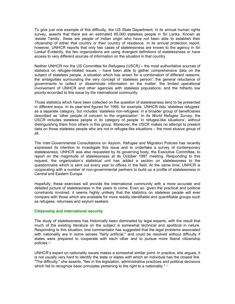To give just one example of this difficulty, the US State Department, in its annual human rights survey, asserts that there are an estimated 85,000 stateless people in Sri Lanka. Known as 'estate Tamils', these are people of Indian origin who have not been able to establish their citizenship of either that country or their country of residence. In its annual protection report, however, UNHCR reports that only two cases of statelessness are known to the agency in Sri Lanka! Evidently, the two organizations are using divergent definitions of statelessness or have access to very different sources of information on the situation in that country.

Neither UNHCR nor the US Committee for Refugees (USCR) – the most authoritative sources of statistics on refugee-related issues – have been able to gather comprehensive data on the subject of stateless people, a situation which has arisen for a combination of different reasons: the ambiguities surrounding the very concept of 'stateless person'; the general reluctance of governments to collect or disseminate information on the matter; the limited operational involvement of UNHCR and other agencies with stateless populations; and the hitherto low priority accorded to this issue by the international community.

Those statistics which have been collected on the question of statelessness tend to be presented in different ways. In its year-end figures for 1995, for example, UNHCR lists 'stateless refugees' as a separate category, but includes 'stateless non-refugees' in a broader group of beneficiaries described as 'other people of concern to the organization'. In its *World Refugee Survey*, the USCR includes stateless people in its category of people 'in refugee-like situations', without distinguishing them from others in this group. Moreover, the USCR makes no attempt to present data on those stateless people who are not in refugee-like situations – the most elusive group of all.

The Inter-Governmental Consultations on Asylum, Refugee and Migration Policies has recently expressed its intention to investigate this issue and to undertake a survey of contemporary statelessness. UNHCR was also requested by its governing body, the Executive Committee, to report on the magnitude of statelessness at its October 1997 meeting. Responding to this request, the organization's statistical unit has added a section on statelessness to the questionnaire which is sent out every year to offices in the field. At the same time, UNHCR is cooperating with a number of non-governmental partners to build up a profile of statelessness in Central and Eastern Europe.

Hopefully, these exercises will provide the international community with a more accurate and detailed picture of statelessness in the years to come. Even so, given the practical and political constraints involved, it seems highly unlikely that the statistics on stateless people will ever compare with those which are available for more readily identifiable and quantifiable groups such as refugees, returnees and asylum seekers.

## **Citizenship and international security**

The study of statelessness has historically been dominated by legal experts, with the result that much of the existing literature on the subject is somewhat technical and apolitical in nature. Responding to this situation, one commentator has suggested that the legal problems associated with nationality are in some senses "fairly artificial," and could be resolved without difficulty if states were prepared to cooperate with each other and to pursue more liberal citizenship policies[.40](#page-21-0)

UNHCR's expert on nationality issues makes a somewhat similar point. In practice, she argues, it is not usually very hard to identify the state or states with which an individual has the closest link. "The difficulty," she asserts, "lies in the legislation, administrative practices and political decisions which fail to recognize basic principles pertaining to the right to a nationality."  $41$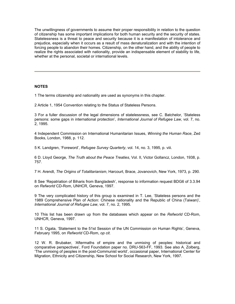<span id="page-19-0"></span>The unwillingness of governments to assume their proper responsibility in relation to the question of citizenship has some important implications for both human security and the security of states. Statelessness is a threat to peace and security because it is a manifestation of intolerance and prejudice, especially when it occurs as a result of mass denaturalization and with the intention of forcing people to abandon their homes. Citizenship, on the other hand, and the ability of people to realize the rights associated with nationality, provide an indispensable element of stability to life, whether at the personal, societal or international levels.

## **NOTES**

1 The terms citizenship and nationality are used as synonyms in this chapter.

2 Article 1, 1954 Convention relating to the Status of Stateless Persons.

3 For a fuller discussion of the legal dimensions of statelessness, see C. Batchelor, 'Stateless persons: some gaps in international protection', *International Journal of Refugee Law*, vol. 7, no. 2, 1995.

4 Independent Commission on International Humanitarian Issues, *Winning the Human Race*, Zed Books, London, 1988, p. 112.

5 K. Landgren, 'Foreword', *Refugee Survey Quarterly*, vol. 14, no. 3, 1995, p. viii.

6 D. Lloyd George, *The Truth about the Peace Treaties*, Vol. II, Victor Gollancz, London, 1938, p. 757.

7 H. Arendt, *The Origins of Totalitarianism*, Harcourt, Brace, Jovanovich, New York, 1973, p. 290.

8 See 'Repatriation of Biharis from Bangladesh', response to information request BDG6 of 3.3.94 on *Refworld* CD-Rom, UNHCR, Geneva, 1997.

9 The very complicated history of this group is examined in T. Lee, 'Stateless persons and the 1989 Comprehensive Plan of Action: Chinese nationality and the Republic of China (Taiwan)', *International Journal of Refugee Law*, vol. 7, no. 2, 1995.

10 This list has been drawn up from the databases which appear on the *Refworld* CD-Rom, UNHCR, Geneva, 1997.

11 S. Ogata, 'Statement to the 51st Session of the UN Commission on Human Rights', Geneva, February 1995, on *Refworld* CD-Rom, *op cit*.

12 W. R. Brubaker, 'Aftermaths of empire and the unmixing of peoples: historical and comparative perspectives', Ford Foundation paper no. DRU-563-FF, 1993. See also A. Zolberg, 'The unmixing of peoples in the post-Communist world', occasional paper, International Center for Migration, Ethnicity and Citizenship, New School for Social Research, New York, 1997.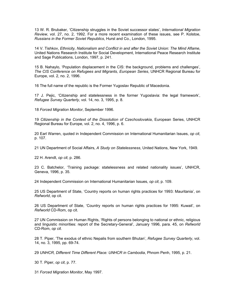<span id="page-20-0"></span>13 W. R. Brubaker, 'Citizenship struggles in the Soviet successor states', *International Migration Review*, vol. 27, no. 2, 1992. For a more recent examination of these issues, see P. Kolstoe, *Russians in the Former Soviet Republics*, Hurst and Co., London, 1995.

14 V. Tishkov, *Ethnicity, Nationalism and Conflict in and after the Soviet Union: The Mind Aflame*, United Nations Research Institute for Social Development, International Peace Research Institute and Sage Publications, London, 1997, p. 241.

15 B. Nahaylo, 'Population displacement in the CIS: the background, problems and challenges', *The CIS Conference on Refugees and Migrants, European Series*, UNHCR Regional Bureau for Europe, vol. 2, no. 2, 1996.

16 The full name of the republic is the Former Yugoslav Republic of Macedonia.

17 J. Pejic, 'Citizenship and statelessness in the former Yugoslavia: the legal framework', *Refugee Survey Quarterly*, vol. 14, no. 3, 1995, p. 8.

18 *Forced Migration Monitor*, September 1996.

19 *Citizenship in the Context of the Dissolution of Czechoslovakia*, European Series, UNHCR Regional Bureau for Europe, vol. 2, no. 4, 1996, p. 6.

20 Earl Warren, quoted in Independent Commission on International Humanitarian Issues, *op cit*, p. 107.

21 UN Department of Social Affairs, *A Study on Statelessness*, United Nations, New York, 1949.

22 H. Arendt, *op cit*, p. 286.

23 C. Batchelor, 'Training package: statelessness and related nationality issues', UNHCR, Geneva, 1996, p. 35.

24 Independent Commission on International Humanitarian Issues, *op cit*, p. 109.

25 US Department of State, 'Country reports on human rights practices for 1993: Mauritania', on *Refworld*, op cit.

26 US Department of State, 'Country reports on human rights practices for 1995: Kuwait', on *Refworld* CD-Rom, op cit.

27 UN Commission on Human Rights, 'Rights of persons belonging to national or ethnic, religious and linguistic minorities: report of the Secretary-General', January 1996, para. 45, on *Refworld* CD-Rom, *op cit*.

28 T. Piper, 'The exodus of ethnic Nepalis from southern Bhutan', *Refugee Survey Quarterly*, vol. 14, no. 3, 1995, pp. 69-74.

29 *UNHCR, Different Time Different Place: UNHCR in Cambodia*, Phnom Penh, 1995, p. 21.

30 T. Piper, *op cit*, p. 77.

31 *Forced Migration Monitor*, May 1997.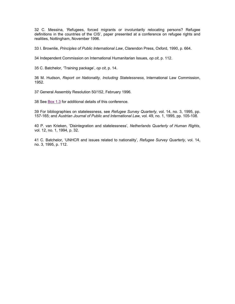<span id="page-21-0"></span>32 C. Messina, 'Refugees, forced migrants or involuntarily relocating persons? Refugee definitions in the countries of the CIS', paper presented at a conference on refugee rights and realities, Nottingham, November 1996.

33 I. Brownlie, *Principles of Public International Law*, Clarendon Press, Oxford, 1990, p. 664.

34 Independent Commission on International Humanitarian Issues, *op cit*, p. 112.

35 C. Batchelor, 'Training package', *op cit*, p. 14.

36 M. Hudson, *Report on Nationality, Including Statelessness*, International Law Commission, 1952.

37 General Assembly Resolution 50/152, February 1996.

38 See Box 1.3 for additional details of this conference.

39 For bibliographies on statelessness, see *Refugee Survey Quarterly*, vol. 14, no. 3, 1995, pp. 157-165; and *Austrian Journal of Public and International Law,* vol. 49, no. 1, 1995, pp. 105-108.

40 P. van Krieken, 'Disintegration and statelessness', *Netherlands Quarterly of Human Rights*, vol. 12, no. 1, 1994, p. 32.

41 C. Batchelor, 'UNHCR and issues related to nationality', *Refugee Survey Quarterly*, vol. 14, no. 3, 1995, p. 112.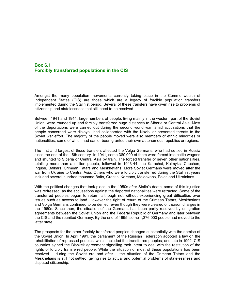## <span id="page-22-0"></span>**Box 6.1 Forcibly transferred populations in the CIS**

Amongst the many population movements currently taking place in the Commonwealth of Independent States (CIS) are those which are a legacy of forcible population transfers implemented during the Stalinist period. Several of these transfers have given rise to problems of citizenship and statelessness that still need to be resolved.

Between 1941 and 1944, large numbers of people, living mainly in the western part of the Soviet Union, were rounded up and forcibly transferred huge distances to Siberia or Central Asia. Most of the deportations were carried out during the second world war, amid accusations that the people concerned were disloyal, had collaborated with the Nazis, or presented threats to the Soviet war effort. The majority of the people moved were also members of ethnic minorities or nationalities, some of which had earlier been granted their own autonomous republics or regions.

The first and largest of these transfers affected the Volga Germans, who had settled in Russia since the end of the 18th century. In 1941, some 380,000 of them were forced into cattle wagons and shunted to Siberia or Central Asia by train. The forced transfer of seven other nationalities, totalling more than a million people, followed in 1943-44: the Karachai, Kalmyks, Chechen, Ingush, Balkars, Crimean Tatars and Meskhetians. More Soviet Germans were moved after the war from Ukraine to Central Asia. Others who were forcibly transferred during the Stalinist years included several hundred thousand Balts, Greeks, Koreans, Moldovans, Poles and Ukrainians.

With the political changes that took place in the 1950s after Stalin's death, some of this injustice was redressed, as the accusations against the deported nationalities were retracted. Some of the transferred peoples began to return, although not without experiencing great difficulties over issues such as access to land. However the right of return of the Crimean Tatars, Meskhetians and Volga Germans continued to be denied, even though they were cleared of treason charges in the 1960s. Since then, the situation of the Germans has been partly resolved by emigration agreements between the Soviet Union and the Federal Republic of Germany and later between the CIS and the reunited Germany. By the end of 1995, some 1,376,000 people had moved to the latter state.

The prospects for the other forcibly transferred peoples changed substantially with the demise of the Soviet Union. In April 1991, the parliament of the Russian Federation adopted a law on the rehabilitation of repressed peoples, which included the transferred peoples; and late in 1992, CIS countries signed the Bishkek agreement signalling their intent to deal with the restitution of the rights of forcibly transferred people. While the situation of most of these populations has been resolved – during the Soviet era and after – the situation of the Crimean Tatars and the Meskhetians is still not settled, giving rise to actual and potential problems of statelessness and disputed citizenship.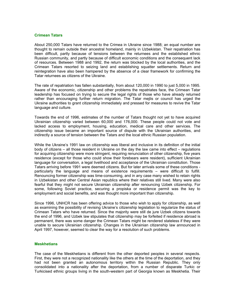## **Crimean Tatars**

About 250,000 Tatars have returned to the Crimea in Ukraine since 1988; an equal number are thought to remain outside their ancestral homeland, mainly in Uzbekistan. Their repatriation has been difficult, partly because of tensions between the returnees and the established ethnic Russian community, and partly because of difficult economic conditions and the consequent lack of resources. Between 1988 and 1992, the return was blocked by the local authorities, and the Crimean Tatars resorted to seizing land and establishing squatter settlements. Return and reintegration have also been hampered by the absence of a clear framework for confirming the Tatar returnees as citizens of the Ukraine.

The rate of repatriation has fallen substantially, from about 120,000 in 1990 to just 5,000 in 1995. Aware of the economic, citizenship and other problems the repatriates face, the Crimean Tatar leadership has focused on trying to secure the legal rights of those who have already returned rather than encouraging further return migration. The Tatar mejlis or council has urged the Ukraine authorities to grant citizenship immediately and pressed for measures to revive the Tatar language and culture.

Towards the end of 1996, estimates of the number of Tatars thought not yet to have acquired Ukrainian citizenship varied between 60,000 and 176,000. These people could not vote and lacked access to employment, housing, education, medical care and other services. The citizenship issue became an important source of dispute with the Ukrainian authorities, and indirectly a source of tension between the Tatars and the local ethnic Russian population.

While the Ukraine's 1991 law on citizenship was liberal and inclusive in its definition of the initial body of citizens – all those resident in Ukraine on the day the law came into effect – regulations for acquiring citizenship were more stringent, requiring renunciation of other citizenship, five years residence (except for those who could show their forebears were resident), sufficient Ukrainian language for conversation, a legal livelihood and acceptance of the Ukrainian constitution. Those Tatars arriving before 1991 were deemed citizens. But for later arrivals some of these conditions particularly the language and means of existence requirements – were difficult to fulfill. Renouncing former citizenship was time-consuming, and in any case many wished to retain rights in Uzbekistan and other Central Asian republics where their relatives still lived. Many were also fearful that they might not secure Ukrainian citizenship after renouncing Uzbek citizenship. For some, following Soviet practice, securing a propiska or residence permit was the key to employment and social benefits, and was thought more important than citizenship.

Since 1996, UNHCR has been offering advice to those who wish to apply for citizenship, as well as examining the possibility of revising Ukraine's citizenship legislation to regularize the status of Crimean Tatars who have returned. Since the majority were still de jure Uzbek citizens towards the end of 1996, and Uzbek law stipulates that citizenship may be forfeited if residence abroad is permanent, there was some danger the Crimean Tatars might be rendered stateless if they were unable to secure Ukrainian citizenship. Changes in the Ukrainian citizenship law announced in April 1997, however, seemed to clear the way for a resolution of such problems.

## **Meskhetians**

The case of the Meskhetians is different from the other deported peoples in several respects. First, they were not a recognized nationality like the others at the time of the deportation, and they had not been granted an autonomous territory within the Russian Republic. They only consolidated into a nationality after the deportation, from a number of disparate Turkic or Turkicised ethnic groups living in the south-western part of Georgia known as Meskhetia. Their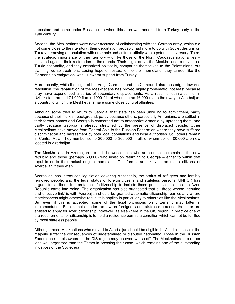ancestors had come under Russian rule when this area was annexed from Turkey early in the 19th century.

Second, the Meskhetians were never accused of collaborating with the German army, which did not come close to their territory; their deportation probably had more to do with Soviet designs on Turkey, removing a population with an ethnic and cultural affinity with a potential adversary. Third, the strategic importance of their territory – unlike those of the North Caucasus nationalities – militated against their restoration to their lands. Their plight drove the Meskhetians to develop a Turkic nationality, and they organized politically, comparing themselves to the Palestinians, but claiming worse treatment. Losing hope of restoration to their homeland, they turned, like the Germans, to emigration, with lukewarm support from Turkey.

More recently, while the plight of the Volga Germans and the Crimean Tatars has edged towards resolution, the repatriation of the Meskhetians has proved highly problematic, not least because they have experienced a series of secondary displacements. As a result of ethnic conflict in Uzbekistan, around 74,000 fled in 1990-91, of whom some 46,000 made their way to Azerbaijan, a country to which the Meskhetians have some close cultural affinities.

Although some tried to return to Georgia, that state has been unwilling to admit them, partly because of their Turkish background; partly because others, particularly Armenians, are settled in their former homes and Georgia is concerned not to antagonize Armenia by uprooting them; and partly because Georgia is already stretched by the presence of displaced people. Other Meskhetians have moved from Central Asia to the Russian Federation where they have suffered discrimination and harassment by both local populations and local authorities. Still others remain in Central Asia. They number some 200,000 to 300,000 in all, of whom up to 100,000 are now located in Azerbaijan.

The Meskhetians in Azerbaijan are split between those who are content to remain in the new republic and those (perhaps 50,000) who insist on returning to Georgia – either to within that republic or to their actual original homeland. The former are likely to be made citizens of Azerbaijan if they wish.

Azerbaijan has introduced legislation covering citizenship, the status of refugees and forcibly removed people, and the legal status of foreign citizens and stateless persons. UNHCR has argued for a liberal interpretation of citizenship to include those present at the time the Azeri Republic came into being. The organization has also suggested that all those whose 'genuine and effective link' is with Azerbaijan should be granted automatic citizenship, particularly where statelessness might otherwise result: this applies in particularly to minorities like the Meskhetians. But even if this is accepted, some of the legal provisions on citizenship may falter in implementation. For example, under the law on foreigners and stateless persons, the latter are entitled to apply for Azeri citizenship; however, as elsewhere in the CIS region, in practice one of the requirements for citizenship is to hold a residence permit, a condition which cannot be fulfilled by most stateless people.

Although those Meskhetians who moved to Azerbaijan should be eligible for Azeri citizenship, the majority suffer the consequences of undetermined or disputed nationality. Those in the Russian Federation and elsewhere in the CIS region may be even worse off. The Meskhetians are rather less well organized than the Tatars in pressing their case, which remains one of the outstanding injustices of the Soviet era.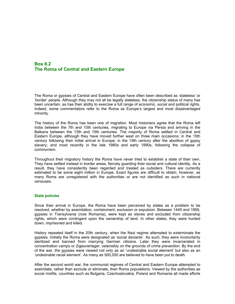## <span id="page-25-0"></span>**Box 6.2 The Roma of Central and Eastern Europe**

The Roma or gypsies of Central and Eastern Europe have often been described as 'stateless' or 'border' people. Although they may not all be legally stateless, the citizenship status of many has been uncertain, as has their ability to exercise a full range of economic, social and political rights. Indeed, some commentators refer to the Roma as Europe's largest and most disadvantaged minority.

The history of the Roma has been one of migration. Most historians agree that the Roma left India between the 7th and 10th centuries, migrating to Europe via Persia and arriving in the Balkans between the 13th and 15th centuries. The majority of Roma settled in Central and Eastern Europe, although they have moved further west on three main occasions: in the 15th century following their initial arrival in Europe; in the 19th century after the abolition of gypsy slavery; and most recently in the late 1980s and early 1990s, following the collapse of communism.

Throughout their migratory history the Roma have never tried to establish a state of their own. They have settled instead in border areas, fiercely guarding their social and cultural identity. As a result, they have consistently been regarded and treated as outsiders. There are currently estimated to be some eight million in Europe. Exact figures are difficult to obtain, however, as many Roma are unregistered with the authorities or are not identified as such in national censuses.

## **State policies**

Since their arrival in Europe, the Roma have been perceived by states as a problem to be resolved, whether by assimilation, containment, exclusion or expulsion. Between 1445 and 1856, gypsies in Transylvania (now Romania), were kept as slaves and excluded from citizenship rights, which were contingent upon the ownership of land. In other states, they were hunted down, imprisoned and killed.

History repeated itself in the 20th century, when the Nazi regime attempted to exterminate the gypsies. Initially the Roma were designated as 'social deviants'. As such, they were involuntarily sterilized and banned from marrying German citizens. Later they were incarcerated in concentration camps or Zigeunerlager, ostensibly on the grounds of crime prevention. By the end of the war, the gypsies were viewed not only as an 'undesirable social element' but also as an 'undesirable racial element'. As many as 500,000 are believed to have been put to death.

After the second world war, the communist regimes of Central and Eastern Europe attempted to assimilate, rather than exclude or eliminate, their Roma populations. Viewed by the authorities as social misfits, countries such as Bulgaria, Czechoslovakia, Poland and Romania all made efforts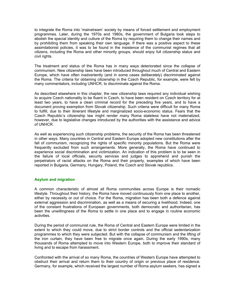to integrate the Roma into 'mainstream' society by means of forced settlement and employment programmes. Later, during the 1970s and 1980s, the government of Bulgaria took steps to abolish the special identity and culture of the Roma by requiring them to change their names and by prohibiting them from speaking their own language. If there was a positive aspect to these assimilationist policies, it was to be found in the insistence of the communist regimes that all citizens, including the Roma and other minority groups, should enjoy full citizenship status and civil rights.

The treatment and status of the Roma has in many ways deteriorated since the collapse of communism. New citizenship laws have been introduced throughout much of Central and Eastern Europe, which have often inadvertently (and in some cases deliberately) discriminated against the Roma. The criteria for obtaining citizenship in the Czech Republic, for example, were felt by many commentators, including UNHCR, to discriminate against the Roma.

As described elsewhere in this chapter, the new citizenship laws required any individual wishing to acquire Czech nationality to be fluent in Czech, to have been resident on Czech territory for at least two years, to have a clean criminal record for the preceding five years, and to have a document proving exemption from Slovak citizenship. Such criteria were difficult for many Roma to fulfill, due to their itinerant lifestyle and marginalized socio-economic status. Fears that the Czech Republic's citizenship law might render many Roma stateless have not materialized, however, due to legislative changes introduced by the authorities with the assistance and advice of UNHCR.

As well as experiencing such citizenship problems, the security of the Roma has been threatened in other ways. Many countries in Central and Eastern Europe adopted new constitutions after the fall of communism, recognizing the rights of specific minority populations. But the Roma were frequently excluded from such arrangements. More generally, the Roma have continued to experience social discrimination and victimization. An indication of this problem is to be seen in the failure of local officials, security services and judges to apprehend and punish the perpetrators of racist attacks on the Roma and their property, examples of which have been reported in Bulgaria, Germany, Hungary, Poland, the Czech and Slovak republics.

## **Asylum and migration**

A common characteristic of almost all Roma communities across Europe is their nomadic lifestyle. Throughout their history, the Roma have moved continuously from one place to another, either by necessity or out of choice. For the Roma, migration has been both a defence against external aggression and discrimination, as well as a means of securing a livelihood. Indeed, one of the constant frustrations of European governments, both democratic and authoritarian, has been the unwillingness of the Roma to settle in one place and to engage in routine economic activities.

During the period of communist rule, the Roma of Central and Eastern Europe were limited in the extent to which they could move, due to strict border controls and the official sedentarization programmes to which they were subjected. But with the collapse of communism and the lifting of the iron curtain, they have been free to migrate once again. During the early 1990s, many thousands of Roma attempted to move into Western Europe, both to improve their standard of living and to escape from harassment.

Confronted with the arrival of so many Roma, the countries of Western Europe have attempted to obstruct their arrival and return them to their country of origin or previous place of residence. Germany, for example, which received the largest number of Roma asylum seekers, has signed a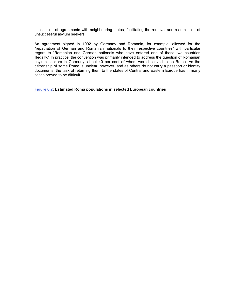succession of agreements with neighbouring states, facilitating the removal and readmission of unsuccessful asylum seekers.

An agreement signed in 1992 by Germany and Romania, for example, allowed for the "repatriation of German and Romanian nationals to their respective countries" with particular regard to "Romanian and German nationals who have entered one of these two countries illegally." In practice, the convention was primarily intended to address the question of Romanian asylum seekers in Germany, about 40 per cent of whom were believed to be Roma. As the citizenship of some Roma is unclear, however, and as others do not carry a passport or identity documents, the task of returning them to the states of Central and Eastern Europe has in many cases proved to be difficult.

**[Figure 6.2:](#page-37-0) Estimated Roma populations in selected European countries**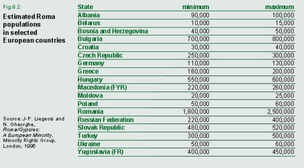## Fig.6.2

**Estimated Roma** populations in selected **European countries** 

Source: J-P. Liegeois and N. Gheorghe,<br>*Roma/Gypsies:* A European Minority,<br>Minority Rights Group, London, 1995

| <b>State</b>                  | minimum   | maximum   |
|-------------------------------|-----------|-----------|
| <b>Albania</b>                | 90,000    | 100,000   |
| <b>Belarus</b>                | 10,000    | 15,000    |
| <b>Bosnia and Herzegovina</b> | 40,000    | 50,000    |
| <b>Bulgaria</b>               | 700,000   | 800,000   |
| Croatia                       | 30,000    | 40,000    |
| <b>Czech Republic</b>         | 250,000   | 300,000   |
| <b>Germany</b>                | 110,000   | 130,000   |
| <b>Greece</b>                 | 160,000   | 200,000   |
| <b>Hungary</b>                | 550,000   | 600,000   |
| Macedonia (FYR)               | 220,000   | 260,000   |
| Moldova                       | 20,000    | 25,000    |
| Poland                        | 50,000    | 60,000    |
| Romania                       | 1,800,000 | 2,500,000 |
| <b>Russian Federation</b>     | 220,000   | 400,000   |
| <b>Slovak Republic</b>        | 480,000   | 520,000   |
| <b>Turkey</b>                 | 300,000   | 500,000   |
| <b>Ukraine</b>                | 50,000    | 60,000    |
| Yugoslavia (FR)               | 400,000   | 450,000   |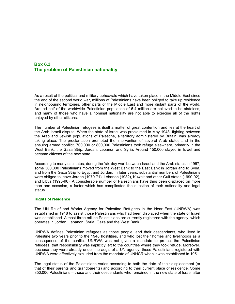## <span id="page-29-0"></span>**Box 6.3 The problem of Palestinian nationality**

As a result of the political and military upheavals which have taken place in the Middle East since the end of the second world war, millions of Palestinians have been obliged to take up residence in neighbouring territories, other parts of the Middle East and more distant parts of the world. Around half of the worldwide Palestinian population of 6.4 million are believed to be stateless, and many of those who have a nominal nationality are not able to exercise all of the rights enjoyed by other citizens.

The number of Palestinian refugees is itself a matter of great contention and lies at the heart of the Arab-Israeli dispute. When the state of Israel was proclaimed in May 1948, fighting between the Arab and Jewish populations of Palestine, a territory administered by Britain, was already taking place. The proclamation prompted the intervention of several Arab states and in the ensuing armed conflict, 700,000 or 800,000 Palestinians took refuge elsewhere, primarily in the West Bank, the Gaza Strip, Jordan, Lebanon and Syria. Around 150,000 stayed in Israel and became citizens of the new state.

According to many estimates, during the 'six-day war' between Israel and the Arab states in 1967, some 300,000 Palestinians moved from the West Bank to the East Bank in Jordan and to Syria, and from the Gaza Strip to Egypt and Jordan. In later years, substantial numbers of Palestinians were obliged to leave Jordan (1970-71), Lebanon (1982), Kuwait and other Gulf states (1990-92), and Libya (1995-96). A considerable number of Palestinians have thus been displaced on more than one occasion, a factor which has complicated the question of their nationality and legal status.

## **Rights of residence**

The UN Relief and Works Agency for Palestine Refugees in the Near East (UNRWA) was established in 1948 to assist those Palestinians who had been displaced when the state of Israel was established. Almost three million Palestinians are currently registered with the agency, which operates in Jordan, Lebanon, Syria, Gaza and the West Bank.

UNRWA defines Palestinian refugees as those people, and their descendants, who lived in Palestine two years prior to the 1948 hostilities, and who lost their homes and livelihoods as a consequence of the conflict. UNRWA was not given a mandate to protect the Palestinian refugees; that responsibility was implicitly left to the countries where they took refuge. Moreover, because they were already under the aegis of a UN agency, those Palestinians registered with UNRWA were effectively excluded from the mandate of UNHCR when it was established in 1951.

The legal status of the Palestinians varies according to both the date of their displacement (or that of their parents and grandparents) and according to their current place of residence. Some 850,000 Palestinians – those and their descendants who remained in the new state of Israel after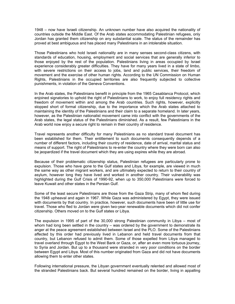1948 – now have Israeli citizenship. An unknown number have also acquired the nationality of countries outside the Middle East. Of the Arab states accommodating Palestinian refugees, only Jordan has granted them citizenship on any substantial scale. The status of the remainder has proved at best ambiguous and has placed many Palestinians in an intolerable situation.

Those Palestinians who hold Israeli nationality are in many senses second-class citizens, with standards of education, housing, employment and social services that are generally inferior to those enjoyed by the rest of the population. Palestinians living in areas occupied by Israel experience considerably greater difficulties. They have for many years lived in a state of limbo, with severe restrictions on their access to jobs, land and public services, their freedom of movement and the exercise of other human rights. According to the UN Commission on Human Rights, Palestinians in the occupied territories are also frequently subjected to collective punishments, in violation of the Geneva Conventions.

In the Arab states, the Palestinians benefit in principle from the 1965 Casablanca Protocol, which enjoined signatories to uphold the right of Palestinians to work, to enjoy full residency rights and freedom of movement within and among the Arab countries. Such rights, however, explicitly stopped short of formal citizenship, due to the importance which the Arab states attached to maintaining the identity of the Palestinians and their claim to a separate homeland. In later years, however, as the Palestinian nationalist movement came into conflict with the governments of the Arab states, the legal status of the Palestinians diminished. As a result, few Palestinians in the Arab world now enjoy a secure right to remain in their country of residence.

Travel represents another difficulty for many Palestinians as no standard travel document has been established for them. Their entitlement to such documents consequently depends of a number of different factors, including their country of residence, date of arrival, marital status and means of support. The right of Palestinians to re-enter the country where they were born can also be jeopardized if the travel document which they are using expires while they are abroad.

Because of their problematic citizenship status, Palestinian refugees are particularly prone to expulsion. Those who have gone to the Gulf states and Libya, for example, are viewed in much the same way as other migrant workers, and are ultimately expected to return to their country of asylum, however long they have lived and worked in another country. Their vulnerability was highlighted during the Gulf Crisis of 1990-92, when up to 350,000 Palestinians were forced to leave Kuwait and other states in the Persian Gulf.

Some of the least secure Palestinians are those from the Gaza Strip, many of whom fled during the 1948 upheaval and again in 1967. While Gaza was administered by Egypt, they were issued with documents by that country. In practice, however, such documents have been of little use for travel. Those who fled to Jordan were given two-year renewable documents which did not confer citizenship. Others moved on to the Gulf states or Libya.

The expulsion in 1995 of part of the 30,000 strong Palestinian community in Libya – most of whom had long been settled in the country – was ordered by the government to demonstrate its anger at the peace agreement established between Israel and the PLO. Some of the Palestinians affected by this order had previously lived in Lebanon and held travel documents from that country, but Lebanon refused to admit them. Some of those expelled from Libya managed to travel overland through Egypt to the West Bank or Gaza, or, after an even more tortuous journey, to Syria and Jordan. But up to a thousand were stranded in very poor conditions on the border between Egypt and Libya. Most of this number originated from Gaza and did not have documents allowing them to enter other states.

Following international pressure, the Libyan government eventually relented and allowed most of the stranded Palestinians back. But several hundred remained on the border, living in appalling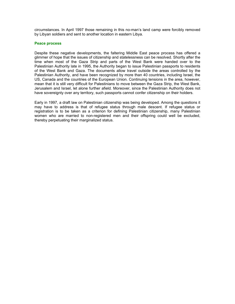circumstances. In April 1997 those remaining in this no-man's land camp were forcibly removed by Libyan soldiers and sent to another location in eastern Libya.

## **Peace process**

Despite these negative developments, the faltering Middle East peace process has offered a glimmer of hope that the issues of citizenship and statelessness can be resolved. Shortly after the time when most of the Gaza Strip and parts of the West Bank were handed over to the Palestinian Authority late in 1995, the Authority began to issue Palestinian passports to residents of the West Bank and Gaza. The documents allow travel outside the areas controlled by the Palestinian Authority, and have been recognized by more than 40 countries, including Israel, the US, Canada and the countries of the European Union. Continuing tensions in the area, however, mean that it is still very difficult for Palestinians to move between the Gaza Strip, the West Bank, Jerusalem and Israel, let alone further afield. Moreover, since the Palestinian Authority does not have sovereignty over any territory, such passports cannot confer citizenship on their holders.

Early in 1997, a draft law on Palestinian citizenship was being developed. Among the questions it may have to address is that of refugee status through male descent. If refugee status or registration is to be taken as a criterion for defining Palestinian citizenship, many Palestinian women who are married to non-registered men and their offspring could well be excluded, thereby perpetuating their marginalized status.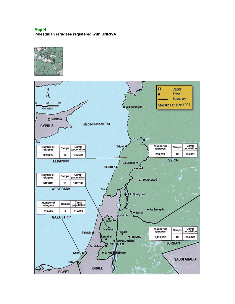## **Map N Palestinian refugees registered with UNRWA**



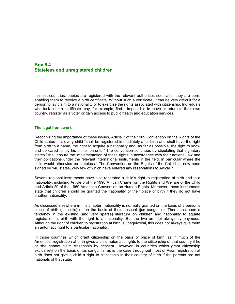## <span id="page-33-0"></span>**Box 6.4 Stateless and unregistered children**

In most countries, babies are registered with the relevant authorities soon after they are born, enabling them to receive a birth certificate. Without such a certificate, it can be very difficult for a person to lay claim to a nationality or to exercise the rights associated with citizenship. Individuals who lack a birth certificate may, for example, find it impossible to leave or return to their own country, register as a voter or gain access to public health and education services.

## **The legal framework**

Recognizing the importance of these issues, Article 7 of the 1989 Convention on the Rights of the Child states that every child "shall be registered immediately after birth and shall have the right from birth to a name, the right to acquire a nationality and, as far as possible, the right to know and be cared for by his or her parents." The convention continues by stipulating that signatory states "shall ensure the implementation of these rights in accordance with their national law and their obligations under the relevant international instruments in the field, in particular where the child would otherwise be stateless." The Convention on the Rights of the Child has now been signed by 140 states, very few of which have entered any reservations to Article 7.

Several regional instruments have also reiterated a child's right to registration at birth and to a nationality, including Article 6 of the 1990 African Charter on the Rights and Welfare of the Child and Article 20 of the 1969 American Convention on Human Rights. Moreover, these instruments state that children should be granted the nationality of their place of birth if they do not have another nationality.

As discussed elsewhere in this chapter, nationality is normally granted on the basis of a person's place of birth (jus solis) or on the basis of their descent (jus sanguinis). There has been a tendency in the existing (and very sparse) literature on children and nationality to equate registration at birth with the right to a nationality. But the two are not always synonymous. Although the right of children to registration at birth is unequivocal, this does not always give them an automatic right to a particular nationality.

In those countries which grant citizenship on the basis of place of birth, as in much of the Americas, registration at birth gives a child automatic rights to the citizenship of that country if he or she cannot claim citizenship by descent. However, in countries which grant citizenship exclusively on the basis of jus sanguinis, as is the case throughout most of Asia, registration at birth does not give a child a right to citizenship in their country of birth if the parents are not nationals of that state.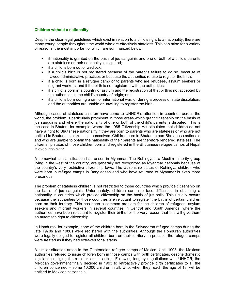## **Children without a nationality**

Despite the clear legal guidelines which exist in relation to a child's right to a nationality, there are many young people throughout the world who are effectively stateless. This can arise for a variety of reasons, the most important of which are summarized below:

- if nationality is granted on the basis of jus sanguinis and one or both of a child's parents are stateless or their nationality is disputed;
- if a child is born out of wedlock;
- if a child's birth is not registered because of the parent's failure to do so, because of flawed administrative practices or because the authorities refuse to register the birth;
- if a child is born in a refugee camp or to parents who are refugees, asylum seekers or migrant workers, and if the birth is not registered with the authorities;
- if a child is born in a country of asylum and the registration of that birth is not accepted by the authorities in the child's country of origin; and,
- if a child is born during a civil or international war, or during a process of state dissolution, and the authorities are unable or unwilling to register the birth.

Although cases of stateless children have come to UNHCR's attention in countries across the world, the problem is particularly prominent in those areas which grant citizenship on the basis of jus sanguinis and where the nationality of one or both of the child's parents is disputed. This is the case in Bhutan, for example, where the 1985 Citizenship Act stipulates that children do not have a right to Bhutanese nationality if they are born to parents who are stateless or who are not entitled to Bhutanese citizenship themselves. Children born in Bhutan to non-Bhutanese nationals and who are unable to obtain the nationality of their parents are therefore rendered stateless. The citizenship status of those children born and registered in the Bhutanese refugee camps of Nepal is even less clear.

A somewhat similar situation has arisen in Myanmar. The Rohingyas, a Muslim minority group living in the west of the country, are generally not recognized as Myanmar nationals because of the country's very restrictive citizenship laws. The citizenship status of Rohingya children who were born in refugee camps in Bangladesh and who have returned to Myanmar is even more precarious.

The problem of stateless children is not restricted to those countries which provide citizenship on the basis of jus sanguinis. Unfortunately, children can also face difficulties in obtaining a nationality in countries which provide citizenship on the basis of jus solis. This usually occurs because the authorities of those countries are reluctant to register the births of certain children born on their territory. This has been a common problem for the children of refugees, asylum seekers and migrant workers in several countries in Central and South America, where the authorities have been reluctant to register their births for the very reason that this will give them an automatic right to citizenship.

In Honduras, for example, none of the children born in the Salvadoran refugee camps during the late 1970s and 1980s were registered with the authorities. Although the Honduran authorities were legally obliged to register all children born on their territory, in practice, the refugee camps were treated as if they had extra-territorial status.

A similar situation arose in the Guatemalan refugee camps of Mexico. Until 1993, the Mexican authorities refused to issue children born in those camps with birth certificates, despite domestic legislation obliging them to take such action. Following lengthy negotiations with UNHCR, the Mexican government finally decided in 1993 to retroactively provide birth certificates to all the children concerned – some 10,000 children in all, who, when they reach the age of 18, will be entitled to Mexican citizenship.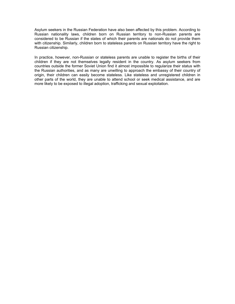Asylum seekers in the Russian Federation have also been affected by this problem. According to Russian nationality laws, children born on Russian territory to non-Russian parents are considered to be Russian if the states of which their parents are nationals do not provide them with citizenship. Similarly, children born to stateless parents on Russian territory have the right to Russian citizenship.

In practice, however, non-Russian or stateless parents are unable to register the births of their children if they are not themselves legally resident in the country. As asylum seekers from countries outside the former Soviet Union find it almost impossible to regularize their status with the Russian authorities, and as many are unwilling to approach the embassy of their country of origin, their children can easily become stateless. Like stateless and unregistered children in other parts of the world, they are unable to attend school or seek medical assistance, and are more likely to be exposed to illegal adoption, trafficking and sexual exploitation.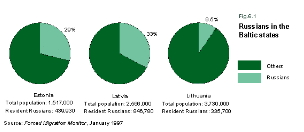



Source: Forced Migration Monitor, January 1997.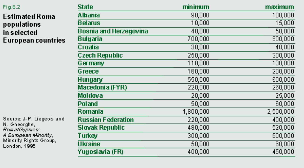## Fig.6.2

**Estimated Roma** populations in selected **European countries** 

Source: J-P. Liegeois and N. Gheorghe,<br>*Roma/Gypsies:* A European Minority,<br>Minority Rights Group, London, 1995

| <b>State</b>                  | minimum   | maximum   |
|-------------------------------|-----------|-----------|
| <b>Albania</b>                | 90,000    | 100,000   |
| <b>Belarus</b>                | 10,000    | 15,000    |
| <b>Bosnia and Herzegovina</b> | 40,000    | 50,000    |
| <b>Bulgaria</b>               | 700,000   | 800,000   |
| Croatia                       | 30,000    | 40,000    |
| <b>Czech Republic</b>         | 250,000   | 300,000   |
| <b>Germany</b>                | 110,000   | 130,000   |
| <b>Greece</b>                 | 160,000   | 200,000   |
| <b>Hungary</b>                | 550,000   | 600,000   |
| Macedonia (FYR)               | 220,000   | 260,000   |
| Moldova                       | 20,000    | 25,000    |
| Poland                        | 50,000    | 60,000    |
| Romania                       | 1,800,000 | 2,500,000 |
| <b>Russian Federation</b>     | 220,000   | 400,000   |
| <b>Slovak Republic</b>        | 480,000   | 520,000   |
| <b>Turkey</b>                 | 300,000   | 500,000   |
| <b>Ukraine</b>                | 50,000    | 60,000    |
| Yugoslavia (FR)               | 400,000   | 450,000   |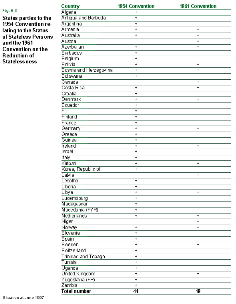## Fig. 6.3

States parties to the<br>1954 Convention relating to the Status of Stateless Persons and the 1961 **Convention on the Reduction of Statelessness** 

| Country                | <b>1954 Convention</b> | <b>1961 Convention</b>           |
|------------------------|------------------------|----------------------------------|
| Algeria                | +                      |                                  |
| Antigua and Barbuda    | $\ddot{}$              |                                  |
| Argentina              | $\ddot{}$              |                                  |
| Armenia                | $\ddot{}$              | +                                |
| Australia              | $\ddot{}$              | $\ddot{}$                        |
| Austria                |                        | $\ddot{}$                        |
| <b>Azerbaijan</b>      | $\pmb{+}$              | $\ddot{}$                        |
| <b>Barbados</b>        | $\ddot{}$              |                                  |
| Belgium                | $\ddot{}$              |                                  |
| <b>Bolivia</b>         | $\ddot{}$              | $\ddot{}$                        |
| Bosnia and Herzegovina | $\ddot{}$              | $\ddot{}$                        |
| <b>Botswana</b>        | $\ddot{}$              |                                  |
| Canada                 |                        | +                                |
| Costa Rica             | $\ddot{}$              | $\ddot{}$                        |
| Croatia                | $\ddot{}$              |                                  |
| Denmark                | $\pmb{+}$              | $\begin{array}{c} + \end{array}$ |
| Ecuador                | $\ddot{}$              |                                  |
| Fiji                   | $\ddot{}$              |                                  |
| Finland                | $\ddot{}$              |                                  |
| France                 | $\ddot{}$              |                                  |
| Germany                | $\ddot{}$              | $\ddot{}$                        |
| Greece                 | $\ddot{}$              |                                  |
| Guinea                 | $\ddot{}$              |                                  |
| Treland                | $\ddot{}$              | $\ddot{}$                        |
| Israel                 | $\ddot{}$              |                                  |
| Italy                  | $\ddot{}$              |                                  |
| Kiribati               | $\ddot{}$              | $\ddot{}$                        |
| Korea, Republic of     | $\ddot{}$              |                                  |
| Latvia                 |                        | $\ddot{}$                        |
| .esotho                | +                      |                                  |
| Liberia                | +                      |                                  |
| Libya                  | +                      | +                                |
| Luxembourg             | $\ddot{}$              |                                  |
| Madagascar             | $\ddot{}$              |                                  |
| Macedonia (FYR)        | $\ddot{}$              |                                  |
| Netherlands            |                        |                                  |
|                        | $\ddot{}$              | $\ddot{}$<br>+                   |
| Niger                  |                        |                                  |
| Norway                 | $\ddot{}$              | +                                |
| Slovenia               | $\ddot{}$              |                                  |
| <b>Spain</b>           | $\ddot{}$              |                                  |
| Sweden                 | +                      | +                                |
| Switzerland            | $\ddot{}$              |                                  |
| Trinidad and Tobago    | $\ddot{}$              |                                  |
| Tunisia                | +                      |                                  |
| Uganda                 | $\ddot{}$              |                                  |
| United Kingdom         | $\pmb{+}$              | +                                |
| Yugoslavia (FR)        | $\ddot{}$              |                                  |
| Zambia                 | $\ddot{}$              |                                  |
| <b>Total number</b>    | 44                     | 19                               |